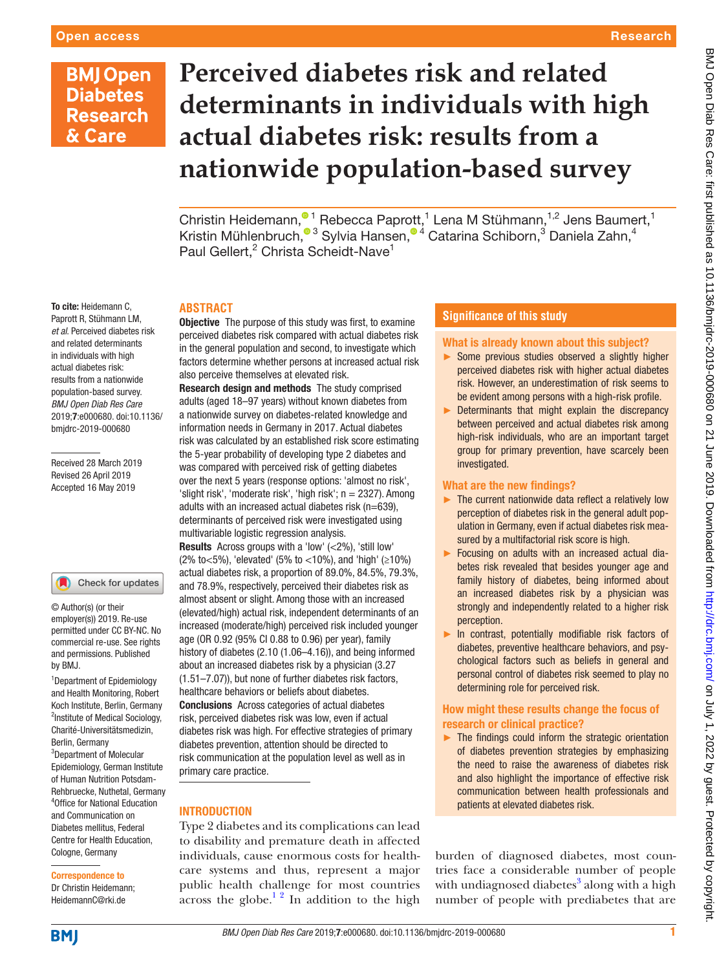# **BMJ Open Diabetes Research** & Care

# **Perceived diabetes risk and related determinants in individuals with high actual diabetes risk: results from a nationwide population-based survey**

Christin Heidemann,<sup>01</sup> Rebecca Paprott,<sup>1</sup> Lena M Stühmann,<sup>1,2</sup> Jens Baumert,<sup>1</sup> Kristin Mühlenbruch[,](http://orcid.org/0000-0001-6188-2017)<sup>® 3</sup> Sylvia Hansen,<sup>® 4</sup> Catarina Schiborn,<sup>3</sup> Daniela Zahn,<sup>4</sup> Paul Gellert,<sup>2</sup> Christa Scheidt-Nave<sup>1</sup>

#### To cite: Heidemann C, Paprott R, Stühmann LM, *et al*. Perceived diabetes risk and related determinants in individuals with high actual diabetes risk: results from a nationwide population-based survey. *BMJ Open Diab Res Care* 2019;7:e000680. doi:10.1136/ bmjdrc-2019-000680

Received 28 March 2019 Revised 26 April 2019 Accepted 16 May 2019

#### Check for updates

© Author(s) (or their employer(s)) 2019. Re-use permitted under CC BY-NC. No commercial re-use. See rights and permissions. Published by BMJ.

<sup>1</sup>Department of Epidemiology and Health Monitoring, Robert Koch Institute, Berlin, Germany <sup>2</sup>Institute of Medical Sociology, Charité-Universitätsmedizin, Berlin, Germany <sup>3</sup>Department of Molecular Epidemiology, German Institute of Human Nutrition Potsdam-Rehbruecke, Nuthetal, Germany 4 Office for National Education and Communication on Diabetes mellitus, Federal Centre for Health Education, Cologne, Germany

#### Correspondence to

Dr Christin Heidemann; HeidemannC@rki.de

#### **Abstract**

**Objective** The purpose of this study was first, to examine perceived diabetes risk compared with actual diabetes risk in the general population and second, to investigate which factors determine whether persons at increased actual risk also perceive themselves at elevated risk.

**Research design and methods** The study comprised adults (aged 18–97 years) without known diabetes from a nationwide survey on diabetes-related knowledge and information needs in Germany in 2017. Actual diabetes risk was calculated by an established risk score estimating the 5-year probability of developing type 2 diabetes and was compared with perceived risk of getting diabetes over the next 5 years (response options: 'almost no risk', 'slight risk', 'moderate risk', 'high risk'; n = 2327). Among adults with an increased actual diabetes risk (n=639), determinants of perceived risk were investigated using multivariable logistic regression analysis.

Results Across groups with a 'low' (<2%), 'still low' (2% to<5%), 'elevated' (5% to <10%), and 'high' (≥10%) actual diabetes risk, a proportion of 89.0%, 84.5%, 79.3%, and 78.9%, respectively, perceived their diabetes risk as almost absent or slight. Among those with an increased (elevated/high) actual risk, independent determinants of an increased (moderate/high) perceived risk included younger age (OR 0.92 (95% CI 0.88 to 0.96) per year), family history of diabetes (2.10 (1.06-4.16)), and being informed about an increased diabetes risk by a physician (3.27 (1.51–7.07)), but none of further diabetes risk factors, healthcare behaviors or beliefs about diabetes. Conclusions Across categories of actual diabetes risk, perceived diabetes risk was low, even if actual diabetes risk was high. For effective strategies of primary diabetes prevention, attention should be directed to risk communication at the population level as well as in primary care practice.

#### **INTRODUCTION**

Type 2 diabetes and its complications can lead to disability and premature death in affected individuals, cause enormous costs for healthcare systems and thus, represent a major public health challenge for most countries across the globe.<sup>12</sup> In addition to the high

#### **Significance of this study**

#### What is already known about this subject?

- ► Some previous studies observed a slightly higher perceived diabetes risk with higher actual diabetes risk. However, an underestimation of risk seems to be evident among persons with a high-risk profile.
- ► Determinants that might explain the discrepancy between perceived and actual diabetes risk among high-risk individuals, who are an important target group for primary prevention, have scarcely been investigated.

#### What are the new findings?

- ► The current nationwide data reflect a relatively low perception of diabetes risk in the general adult population in Germany, even if actual diabetes risk measured by a multifactorial risk score is high.
- ► Focusing on adults with an increased actual diabetes risk revealed that besides younger age and family history of diabetes, being informed about an increased diabetes risk by a physician was strongly and independently related to a higher risk perception.
- ► In contrast, potentially modifiable risk factors of diabetes, preventive healthcare behaviors, and psychological factors such as beliefs in general and personal control of diabetes risk seemed to play no determining role for perceived risk.

#### How might these results change the focus of research or clinical practice?

► The findings could inform the strategic orientation of diabetes prevention strategies by emphasizing the need to raise the awareness of diabetes risk and also highlight the importance of effective risk communication between health professionals and patients at elevated diabetes risk.

burden of diagnosed diabetes, most countries face a considerable number of people with undiagnosed diabetes<sup>3</sup> along with a high number of people with prediabetes that are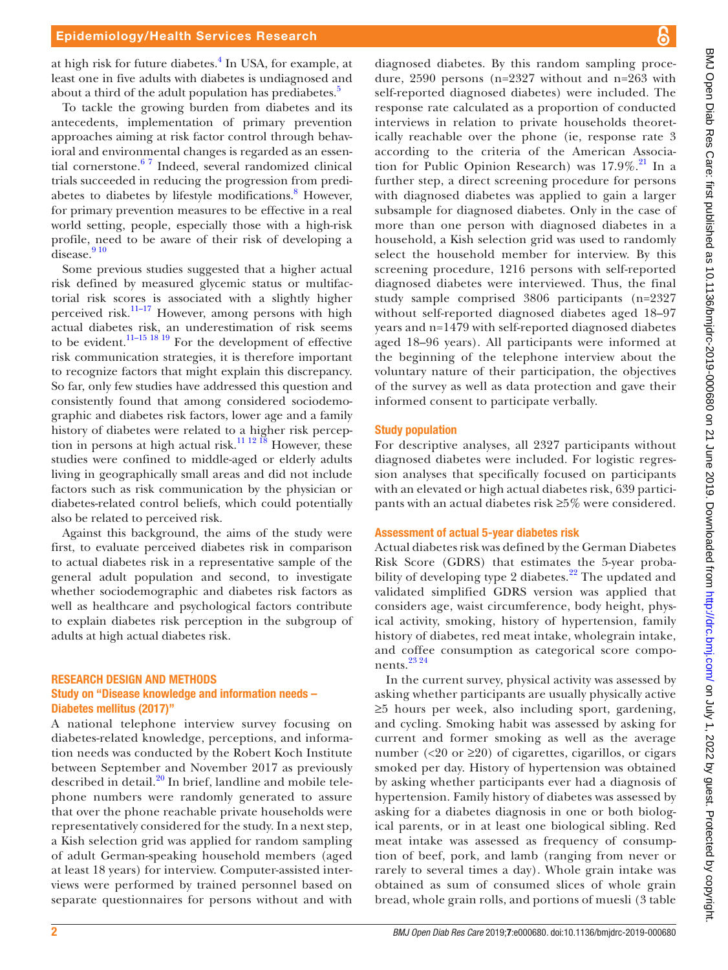at high risk for future diabetes.<sup>[4](#page-8-2)</sup> In USA, for example, at least one in five adults with diabetes is undiagnosed and about a third of the adult population has prediabetes.<sup>[5](#page-8-3)</sup>

To tackle the growing burden from diabetes and its antecedents, implementation of primary prevention approaches aiming at risk factor control through behavioral and environmental changes is regarded as an essential cornerstone.[6 7](#page-8-4) Indeed, several randomized clinical trials succeeded in reducing the progression from prediabetes to diabetes by lifestyle modifications.<sup>8</sup> However, for primary prevention measures to be effective in a real world setting, people, especially those with a high-risk profile, need to be aware of their risk of developing a disease. $910$ 

Some previous studies suggested that a higher actual risk defined by measured glycemic status or multifactorial risk scores is associated with a slightly higher perceived risk. $11-17$  However, among persons with high actual diabetes risk, an underestimation of risk seems to be evident.<sup>11–15 18 19</sup> For the development of effective risk communication strategies, it is therefore important to recognize factors that might explain this discrepancy. So far, only few studies have addressed this question and consistently found that among considered sociodemographic and diabetes risk factors, lower age and a family history of diabetes were related to a higher risk perception in persons at high actual risk.<sup>11 12 18</sup> However, these studies were confined to middle-aged or elderly adults living in geographically small areas and did not include factors such as risk communication by the physician or diabetes-related control beliefs, which could potentially also be related to perceived risk.

Against this background, the aims of the study were first, to evaluate perceived diabetes risk in comparison to actual diabetes risk in a representative sample of the general adult population and second, to investigate whether sociodemographic and diabetes risk factors as well as healthcare and psychological factors contribute to explain diabetes risk perception in the subgroup of adults at high actual diabetes risk.

#### Research design and methods

#### Study on "Disease knowledge and information needs – Diabetes mellitus (2017)"

A national telephone interview survey focusing on diabetes-related knowledge, perceptions, and information needs was conducted by the Robert Koch Institute between September and November 2017 as previously described in detail.[20](#page-9-0) In brief, landline and mobile telephone numbers were randomly generated to assure that over the phone reachable private households were representatively considered for the study. In a next step, a Kish selection grid was applied for random sampling of adult German-speaking household members (aged at least 18 years) for interview. Computer-assisted interviews were performed by trained personnel based on separate questionnaires for persons without and with

diagnosed diabetes. By this random sampling procedure, 2590 persons (n=2327 without and n=263 with self-reported diagnosed diabetes) were included. The response rate calculated as a proportion of conducted interviews in relation to private households theoretically reachable over the phone (ie, response rate 3 according to the criteria of the American Association for Public Opinion Research) was  $17.9\%$ .<sup>21</sup> In a further step, a direct screening procedure for persons with diagnosed diabetes was applied to gain a larger subsample for diagnosed diabetes. Only in the case of more than one person with diagnosed diabetes in a household, a Kish selection grid was used to randomly select the household member for interview. By this screening procedure, 1216 persons with self-reported diagnosed diabetes were interviewed. Thus, the final study sample comprised 3806 participants (n=2327 without self-reported diagnosed diabetes aged 18–97 years and n=1479 with self-reported diagnosed diabetes aged 18–96 years). All participants were informed at the beginning of the telephone interview about the voluntary nature of their participation, the objectives of the survey as well as data protection and gave their informed consent to participate verbally.

#### Study population

For descriptive analyses, all 2327 participants without diagnosed diabetes were included. For logistic regression analyses that specifically focused on participants with an elevated or high actual diabetes risk, 639 participants with an actual diabetes risk ≥5% were considered.

#### Assessment of actual 5-year diabetes risk

Actual diabetes risk was defined by the German Diabetes Risk Score (GDRS) that estimates the 5-year probability of developing type 2 diabetes.<sup>22</sup> The updated and validated simplified GDRS version was applied that considers age, waist circumference, body height, physical activity, smoking, history of hypertension, family history of diabetes, red meat intake, wholegrain intake, and coffee consumption as categorical score components.[23 24](#page-9-3)

In the current survey, physical activity was assessed by asking whether participants are usually physically active ≥5 hours per week, also including sport, gardening, and cycling. Smoking habit was assessed by asking for current and former smoking as well as the average number  $(\leq 20 \text{ or } \geq 20)$  of cigarettes, cigarillos, or cigars smoked per day. History of hypertension was obtained by asking whether participants ever had a diagnosis of hypertension. Family history of diabetes was assessed by asking for a diabetes diagnosis in one or both biological parents, or in at least one biological sibling. Red meat intake was assessed as frequency of consumption of beef, pork, and lamb (ranging from never or rarely to several times a day). Whole grain intake was obtained as sum of consumed slices of whole grain bread, whole grain rolls, and portions of muesli (3 table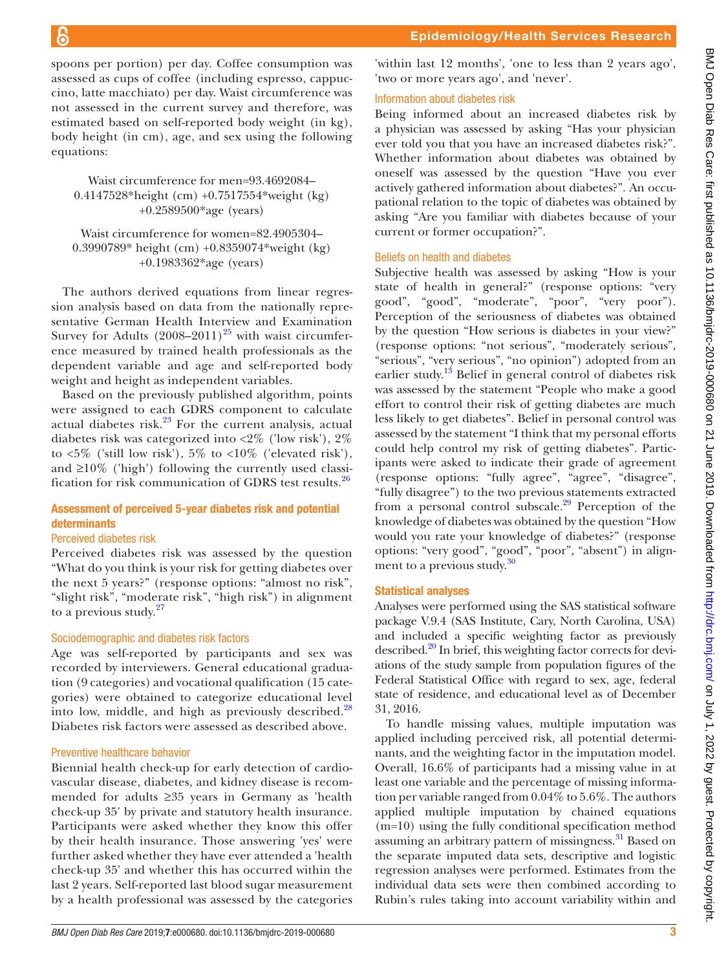spoons per portion) per day. Coffee consumption was assessed as cups of coffee (including espresso, cappuccino, latte macchiato) per day. Waist circumference was not assessed in the current survey and therefore, was estimated based on self-reported body weight (in kg), body height (in cm), age, and sex using the following equations:

## Waist circumference for men=93.4692084– 0.4147528\*height (cm) +0.7517554\*weight (kg) +0.2589500\*age (years)

Waist circumference for women=82.4905304– 0.3990789\* height (cm) +0.8359074\*weight (kg) +0.1983362\*age (years)

The authors derived equations from linear regression analysis based on data from the nationally representative German Health Interview and Examination Survey for Adults  $(2008-2011)^{25}$  with waist circumference measured by trained health professionals as the dependent variable and age and self-reported body weight and height as independent variables.

Based on the previously published algorithm, points were assigned to each GDRS component to calculate actual diabetes risk. $^{23}$  $^{23}$  $^{23}$  For the current analysis, actual diabetes risk was categorized into <2% ('low risk'), 2% to  $<5\%$  ('still low risk'), 5% to  $<10\%$  ('elevated risk'), and ≥10% ('high') following the currently used classification for risk communication of GDRS test results.[26](#page-9-5)

## Assessment of perceived 5-year diabetes risk and potential determinants

#### Perceived diabetes risk

Perceived diabetes risk was assessed by the question "What do you think is your risk for getting diabetes over the next 5 years?" (response options: "almost no risk", "slight risk", "moderate risk", "high risk") in alignment to a previous study.<sup>[27](#page-9-6)</sup>

#### Sociodemographic and diabetes risk factors

Age was self-reported by participants and sex was recorded by interviewers. General educational graduation (9 categories) and vocational qualification (15 categories) were obtained to categorize educational level into low, middle, and high as previously described. $28$ Diabetes risk factors were assessed as described above.

#### Preventive healthcare behavior

Biennial health check-up for early detection of cardiovascular disease, diabetes, and kidney disease is recommended for adults ≥35 years in Germany as 'health check-up 35' by private and statutory health insurance. Participants were asked whether they know this offer by their health insurance. Those answering 'yes' were further asked whether they have ever attended a 'health check-up 35' and whether this has occurred within the last 2 years. Self-reported last blood sugar measurement by a health professional was assessed by the categories

'within last 12 months', 'one to less than 2 years ago', 'two or more years ago', and 'never'.

#### Information about diabetes risk

Being informed about an increased diabetes risk by a physician was assessed by asking "Has your physician ever told you that you have an increased diabetes risk?". Whether information about diabetes was obtained by oneself was assessed by the question "Have you ever actively gathered information about diabetes?". An occupational relation to the topic of diabetes was obtained by asking "Are you familiar with diabetes because of your current or former occupation?".

#### Beliefs on health and diabetes

Subjective health was assessed by asking "How is your state of health in general?" (response options: "very good", "good", "moderate", "poor", "very poor"). Perception of the seriousness of diabetes was obtained by the question "How serious is diabetes in your view?" (response options: "not serious", "moderately serious", "serious", "very serious", "no opinion") adopted from an earlier study.<sup>[13](#page-8-8)</sup> Belief in general control of diabetes risk was assessed by the statement "People who make a good effort to control their risk of getting diabetes are much less likely to get diabetes". Belief in personal control was assessed by the statement "I think that my personal efforts could help control my risk of getting diabetes". Participants were asked to indicate their grade of agreement (response options: "fully agree", "agree", "disagree", "fully disagree") to the two previous statements extracted from a personal control subscale.<sup>29</sup> Perception of the knowledge of diabetes was obtained by the question "How would you rate your knowledge of diabetes?" (response options: "very good", "good", "poor", "absent") in alignment to a previous study. $30$ 

#### Statistical analyses

Analyses were performed using the SAS statistical software package V.9.4 (SAS Institute, Cary, North Carolina, USA) and included a specific weighting factor as previously described.<sup>20</sup> In brief, this weighting factor corrects for deviations of the study sample from population figures of the Federal Statistical Office with regard to sex, age, federal state of residence, and educational level as of December 31, 2016.

To handle missing values, multiple imputation was applied including perceived risk, all potential determinants, and the weighting factor in the imputation model. Overall, 16.6% of participants had a missing value in at least one variable and the percentage of missing information per variable ranged from 0.04% to 5.6%. The authors applied multiple imputation by chained equations (m=10) using the fully conditional specification method assuming an arbitrary pattern of missingness.<sup>31</sup> Based on the separate imputed data sets, descriptive and logistic regression analyses were performed. Estimates from the individual data sets were then combined according to Rubin's rules taking into account variability within and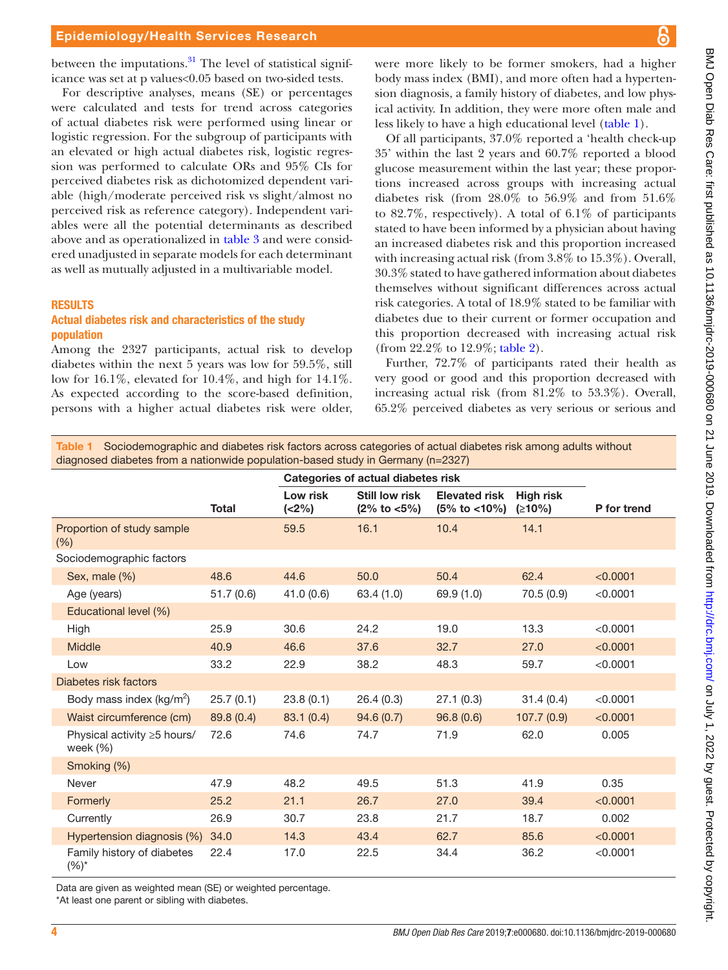#### Epidemiology/Health Services Research

between the imputations. $31$  The level of statistical significance was set at p values<0.05 based on two-sided tests.

For descriptive analyses, means (SE) or percentages were calculated and tests for trend across categories of actual diabetes risk were performed using linear or logistic regression. For the subgroup of participants with an elevated or high actual diabetes risk, logistic regression was performed to calculate ORs and 95% CIs for perceived diabetes risk as dichotomized dependent variable (high/moderate perceived risk vs slight/almost no perceived risk as reference category). Independent variables were all the potential determinants as described above and as operationalized in [table](#page-6-0) 3 and were considered unadjusted in separate models for each determinant as well as mutually adjusted in a multivariable model.

#### **RESULTS**

#### Actual diabetes risk and characteristics of the study population

Among the 2327 participants, actual risk to develop diabetes within the next 5 years was low for 59.5%, still low for 16.1%, elevated for 10.4%, and high for 14.1%. As expected according to the score-based definition, persons with a higher actual diabetes risk were older,

were more likely to be former smokers, had a higher body mass index (BMI), and more often had a hypertension diagnosis, a family history of diabetes, and low physical activity. In addition, they were more often male and less likely to have a high educational level [\(table](#page-3-0) 1).

Of all participants, 37.0% reported a 'health check-up 35' within the last 2 years and 60.7% reported a blood glucose measurement within the last year; these proportions increased across groups with increasing actual diabetes risk (from 28.0% to 56.9% and from 51.6% to 82.7%, respectively). A total of 6.1% of participants stated to have been informed by a physician about having an increased diabetes risk and this proportion increased with increasing actual risk (from 3.8% to 15.3%). Overall, 30.3% stated to have gathered information about diabetes themselves without significant differences across actual risk categories. A total of 18.9% stated to be familiar with diabetes due to their current or former occupation and this proportion decreased with increasing actual risk (from 22.2% to 12.9%; [table](#page-4-0) 2).

Further, 72.7% of participants rated their health as very good or good and this proportion decreased with increasing actual risk (from 81.2% to 53.3%). Overall, 65.2% perceived diabetes as very serious or serious and

<span id="page-3-0"></span>Table 1 Sociodemographic and diabetes risk factors across categories of actual diabetes risk among adults without diagnosed diabetes from a nationwide population-based study in Germany (n=2327)

|                                           |              | Categories of actual diabetes risk |                                                    |                                                    |                            |             |
|-------------------------------------------|--------------|------------------------------------|----------------------------------------------------|----------------------------------------------------|----------------------------|-------------|
|                                           | <b>Total</b> | Low risk<br>( <b>2%</b> )          | <b>Still low risk</b><br>$(2\% \text{ to } < 5\%)$ | <b>Elevated risk</b><br>$(5\% \text{ to } < 10\%)$ | <b>High risk</b><br>(≥10%) | P for trend |
| Proportion of study sample<br>(% )        |              | 59.5                               | 16.1                                               | 10.4                                               | 14.1                       |             |
| Sociodemographic factors                  |              |                                    |                                                    |                                                    |                            |             |
| Sex, male (%)                             | 48.6         | 44.6                               | 50.0                                               | 50.4                                               | 62.4                       | < 0.0001    |
| Age (years)                               | 51.7(0.6)    | 41.0(0.6)                          | 63.4(1.0)                                          | 69.9 (1.0)                                         | 70.5 (0.9)                 | < 0.0001    |
| Educational level (%)                     |              |                                    |                                                    |                                                    |                            |             |
| High                                      | 25.9         | 30.6                               | 24.2                                               | 19.0                                               | 13.3                       | < 0.0001    |
| Middle                                    | 40.9         | 46.6                               | 37.6                                               | 32.7                                               | 27.0                       | < 0.0001    |
| Low                                       | 33.2         | 22.9                               | 38.2                                               | 48.3                                               | 59.7                       | < 0.0001    |
| Diabetes risk factors                     |              |                                    |                                                    |                                                    |                            |             |
| Body mass index (kg/m <sup>2</sup> )      | 25.7(0.1)    | 23.8(0.1)                          | 26.4(0.3)                                          | 27.1(0.3)                                          | 31.4(0.4)                  | < 0.0001    |
| Waist circumference (cm)                  | 89.8 (0.4)   | 83.1(0.4)                          | 94.6(0.7)                                          | 96.8(0.6)                                          | 107.7(0.9)                 | < 0.0001    |
| Physical activity ≥5 hours/<br>week $(%)$ | 72.6         | 74.6                               | 74.7                                               | 71.9                                               | 62.0                       | 0.005       |
| Smoking (%)                               |              |                                    |                                                    |                                                    |                            |             |
| Never                                     | 47.9         | 48.2                               | 49.5                                               | 51.3                                               | 41.9                       | 0.35        |
| Formerly                                  | 25.2         | 21.1                               | 26.7                                               | 27.0                                               | 39.4                       | < 0.0001    |
| Currently                                 | 26.9         | 30.7                               | 23.8                                               | 21.7                                               | 18.7                       | 0.002       |
| Hypertension diagnosis (%)                | 34.0         | 14.3                               | 43.4                                               | 62.7                                               | 85.6                       | < 0.0001    |
| Family history of diabetes<br>$(\%)^*$    | 22.4         | 17.0                               | 22.5                                               | 34.4                                               | 36.2                       | < 0.0001    |

Data are given as weighted mean (SE) or weighted percentage.

\*At least one parent or sibling with diabetes.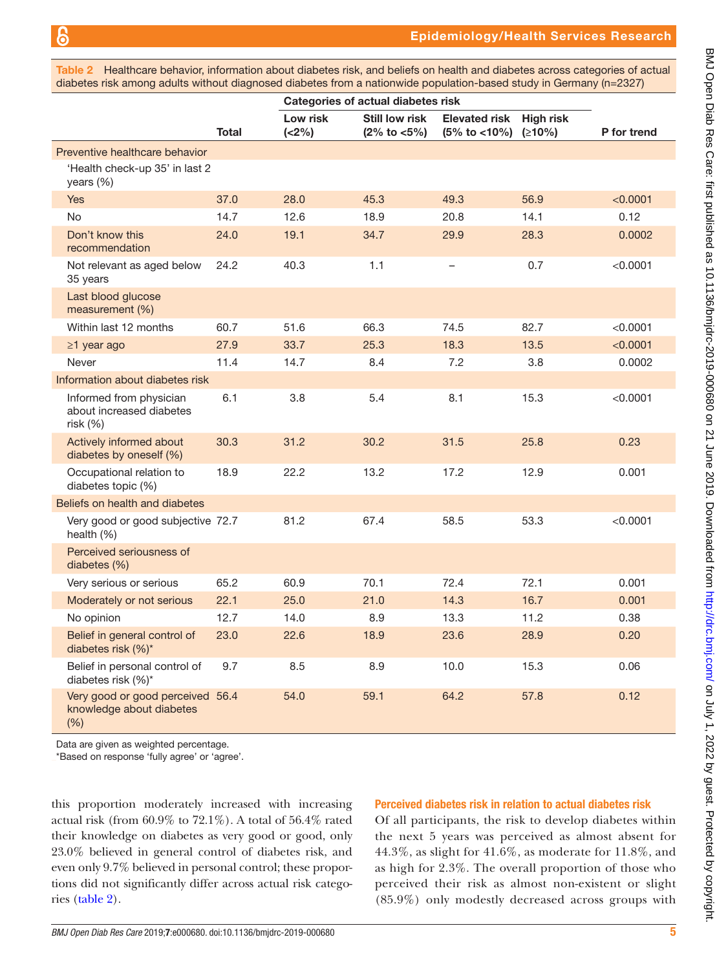<span id="page-4-0"></span>Table 2 Healthcare behavior, information about diabetes risk, and beliefs on health and diabetes across categories of actual diabetes risk among adults without diagnosed diabetes from a nationwide population-based study in Germany (n=2327)

|                                                                      |              | Categories of actual diabetes risk |                                                   |                                                    |                            |             |
|----------------------------------------------------------------------|--------------|------------------------------------|---------------------------------------------------|----------------------------------------------------|----------------------------|-------------|
|                                                                      | <b>Total</b> | Low risk<br>( <b>2%</b> )          | <b>Still low risk</b><br>$(2\% \text{ to } <5\%)$ | <b>Elevated risk</b><br>$(5\% \text{ to } < 10\%)$ | <b>High risk</b><br>(≥10%) | P for trend |
| Preventive healthcare behavior                                       |              |                                    |                                                   |                                                    |                            |             |
| 'Health check-up 35' in last 2<br>years $(\%)$                       |              |                                    |                                                   |                                                    |                            |             |
| <b>Yes</b>                                                           | 37.0         | 28.0                               | 45.3                                              | 49.3                                               | 56.9                       | < 0.0001    |
| <b>No</b>                                                            | 14.7         | 12.6                               | 18.9                                              | 20.8                                               | 14.1                       | 0.12        |
| Don't know this<br>recommendation                                    | 24.0         | 19.1                               | 34.7                                              | 29.9                                               | 28.3                       | 0.0002      |
| Not relevant as aged below<br>35 years                               | 24.2         | 40.3                               | 1.1                                               | $\qquad \qquad -$                                  | 0.7                        | < 0.0001    |
| Last blood glucose<br>measurement (%)                                |              |                                    |                                                   |                                                    |                            |             |
| Within last 12 months                                                | 60.7         | 51.6                               | 66.3                                              | 74.5                                               | 82.7                       | < 0.0001    |
| $\geq$ 1 year ago                                                    | 27.9         | 33.7                               | 25.3                                              | 18.3                                               | 13.5                       | < 0.0001    |
| Never                                                                | 11.4         | 14.7                               | 8.4                                               | 7.2                                                | 3.8                        | 0.0002      |
| Information about diabetes risk                                      |              |                                    |                                                   |                                                    |                            |             |
| Informed from physician<br>about increased diabetes<br>risk (%)      | 6.1          | 3.8                                | 5.4                                               | 8.1                                                | 15.3                       | $<$ 0.0001  |
| Actively informed about<br>diabetes by oneself (%)                   | 30.3         | 31.2                               | 30.2                                              | 31.5                                               | 25.8                       | 0.23        |
| Occupational relation to<br>diabetes topic (%)                       | 18.9         | 22.2                               | 13.2                                              | 17.2                                               | 12.9                       | 0.001       |
| Beliefs on health and diabetes                                       |              |                                    |                                                   |                                                    |                            |             |
| Very good or good subjective 72.7<br>health $(\%)$                   |              | 81.2                               | 67.4                                              | 58.5                                               | 53.3                       | < 0.0001    |
| Perceived seriousness of<br>diabetes (%)                             |              |                                    |                                                   |                                                    |                            |             |
| Very serious or serious                                              | 65.2         | 60.9                               | 70.1                                              | 72.4                                               | 72.1                       | 0.001       |
| Moderately or not serious                                            | 22.1         | 25.0                               | 21.0                                              | 14.3                                               | 16.7                       | 0.001       |
| No opinion                                                           | 12.7         | 14.0                               | 8.9                                               | 13.3                                               | 11.2                       | 0.38        |
| Belief in general control of<br>diabetes risk (%)*                   | 23.0         | 22.6                               | 18.9                                              | 23.6                                               | 28.9                       | 0.20        |
| Belief in personal control of<br>diabetes risk (%)*                  | 9.7          | 8.5                                | 8.9                                               | 10.0                                               | 15.3                       | 0.06        |
| Very good or good perceived 56.4<br>knowledge about diabetes<br>(% ) |              | 54.0                               | 59.1                                              | 64.2                                               | 57.8                       | 0.12        |

Data are given as weighted percentage.

\*Based on response 'fully agree' or 'agree'.

this proportion moderately increased with increasing actual risk (from  $60.9\%$  to  $72.1\%$ ). A total of  $56.4\%$  rated their knowledge on diabetes as very good or good, only 23.0% believed in general control of diabetes risk, and even only 9.7% believed in personal control; these proportions did not significantly differ across actual risk categories ([table](#page-4-0) 2).

#### Perceived diabetes risk in relation to actual diabetes risk

Of all participants, the risk to develop diabetes within the next 5 years was perceived as almost absent for 44.3%, as slight for 41.6%, as moderate for 11.8%, and as high for 2.3%. The overall proportion of those who perceived their risk as almost non-existent or slight (85.9%) only modestly decreased across groups with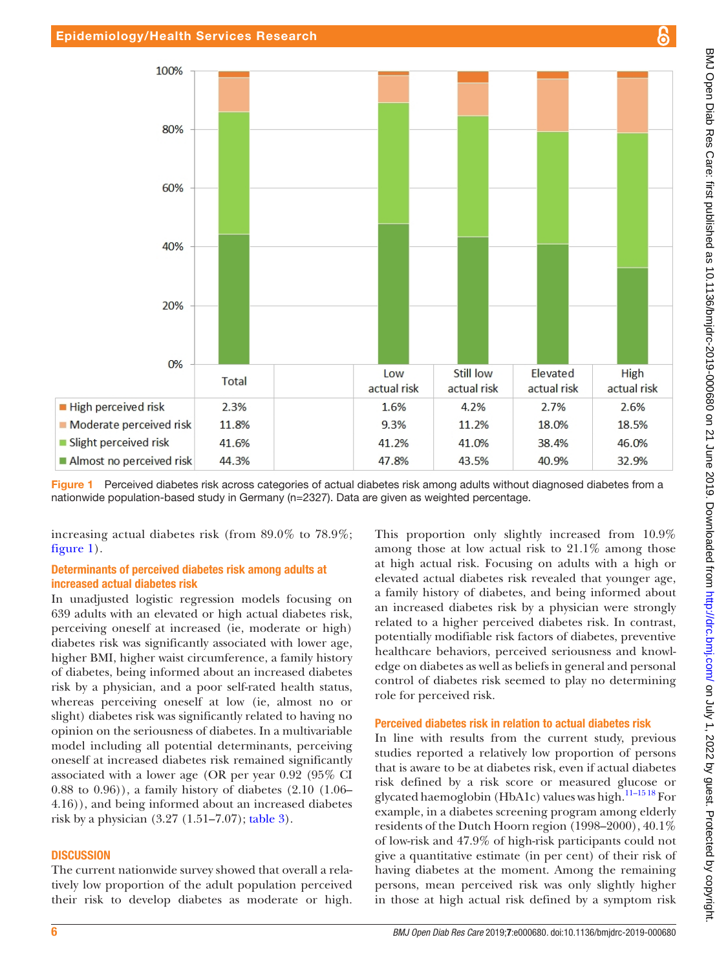100%

80%

60%

40%





20% 0% **Still low** Low Total actual risk actual risk High perceived risk 2.3% 1.6% 4.2% Moderate perceived risk 11.8% 9.3% 11.2% Slight perceived risk 41.6% 41.2% 41.0% 44.3% 47.8% Almost no perceived risk

<span id="page-5-0"></span>Figure 1 Perceived diabetes risk across categories of actual diabetes risk among adults without diagnosed diabetes from a nationwide population-based study in Germany (n=2327). Data are given as weighted percentage.

increasing actual diabetes risk (from 89.0% to 78.9%; [figure](#page-5-0) 1).

# Determinants of perceived diabetes risk among adults at increased actual diabetes risk

In unadjusted logistic regression models focusing on 639 adults with an elevated or high actual diabetes risk, perceiving oneself at increased (ie, moderate or high) diabetes risk was significantly associated with lower age, higher BMI, higher waist circumference, a family history of diabetes, being informed about an increased diabetes risk by a physician, and a poor self-rated health status, whereas perceiving oneself at low (ie, almost no or slight) diabetes risk was significantly related to having no opinion on the seriousness of diabetes. In a multivariable model including all potential determinants, perceiving oneself at increased diabetes risk remained significantly associated with a lower age (OR per year 0.92 (95% CI 0.88 to 0.96)), a family history of diabetes (2.10 (1.06– 4.16)), and being informed about an increased diabetes risk by a physician (3.27 (1.51–7.07); [table](#page-6-0) 3).

# **DISCUSSION**

The current nationwide survey showed that overall a relatively low proportion of the adult population perceived their risk to develop diabetes as moderate or high.

This proportion only slightly increased from 10.9% among those at low actual risk to 21.1% among those at high actual risk. Focusing on adults with a high or elevated actual diabetes risk revealed that younger age, a family history of diabetes, and being informed about an increased diabetes risk by a physician were strongly related to a higher perceived diabetes risk. In contrast, potentially modifiable risk factors of diabetes, preventive healthcare behaviors, perceived seriousness and knowledge on diabetes as well as beliefs in general and personal control of diabetes risk seemed to play no determining role for perceived risk.

# Perceived diabetes risk in relation to actual diabetes risk

In line with results from the current study, previous studies reported a relatively low proportion of persons that is aware to be at diabetes risk, even if actual diabetes risk defined by a risk score or measured glucose or glycated haemoglobin (HbA1c) values was high.<sup>11-15 18</sup> For example, in a diabetes screening program among elderly residents of the Dutch Hoorn region (1998–2000), 40.1% of low-risk and 47.9% of high-risk participants could not give a quantitative estimate (in per cent) of their risk of having diabetes at the moment. Among the remaining persons, mean perceived risk was only slightly higher in those at high actual risk defined by a symptom risk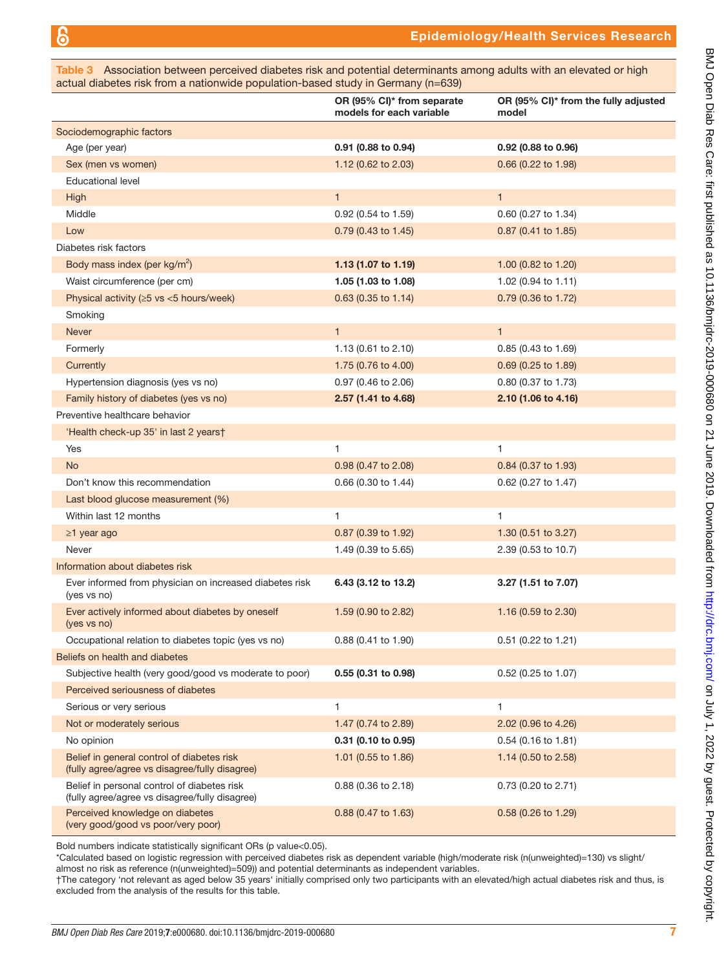<span id="page-6-0"></span>Table 3 Association between perceived diabetes risk and potential determinants among adults with an elevated or high actual diabetes risk from a nationwide population-based study in Germany (n=639)

|                                                                                               | OR (95% CI)* from separate<br>models for each variable | OR (95% CI)* from the fully adjusted<br>model |
|-----------------------------------------------------------------------------------------------|--------------------------------------------------------|-----------------------------------------------|
| Sociodemographic factors                                                                      |                                                        |                                               |
| Age (per year)                                                                                | 0.91 (0.88 to 0.94)                                    | 0.92 (0.88 to 0.96)                           |
| Sex (men vs women)                                                                            | 1.12 (0.62 to 2.03)                                    | $0.66$ (0.22 to 1.98)                         |
| <b>Educational level</b>                                                                      |                                                        |                                               |
| High                                                                                          | $\mathbf{1}$                                           | $\mathbf{1}$                                  |
| Middle                                                                                        | 0.92 (0.54 to 1.59)                                    | 0.60 (0.27 to 1.34)                           |
| Low                                                                                           | $0.79$ (0.43 to 1.45)                                  | $0.87$ (0.41 to 1.85)                         |
| Diabetes risk factors                                                                         |                                                        |                                               |
| Body mass index (per kg/m <sup>2</sup> )                                                      | 1.13 (1.07 to 1.19)                                    | 1.00 (0.82 to 1.20)                           |
| Waist circumference (per cm)                                                                  | 1.05 (1.03 to 1.08)                                    | 1.02 $(0.94 \text{ to } 1.11)$                |
| Physical activity ( $\geq$ 5 vs <5 hours/week)                                                | $0.63$ (0.35 to 1.14)                                  | $0.79$ (0.36 to 1.72)                         |
| Smoking                                                                                       |                                                        |                                               |
| <b>Never</b>                                                                                  | $\mathbf{1}$                                           | $\mathbf{1}$                                  |
| Formerly                                                                                      | 1.13 (0.61 to 2.10)                                    | 0.85 (0.43 to 1.69)                           |
| Currently                                                                                     | 1.75 (0.76 to 4.00)                                    | $0.69$ (0.25 to 1.89)                         |
| Hypertension diagnosis (yes vs no)                                                            | 0.97 (0.46 to 2.06)                                    | 0.80 (0.37 to 1.73)                           |
| Family history of diabetes (yes vs no)                                                        | 2.57 (1.41 to 4.68)                                    | 2.10 (1.06 to 4.16)                           |
| Preventive healthcare behavior                                                                |                                                        |                                               |
| 'Health check-up 35' in last 2 years†                                                         |                                                        |                                               |
| Yes                                                                                           | 1                                                      | 1                                             |
| <b>No</b>                                                                                     | 0.98 (0.47 to 2.08)                                    | 0.84 (0.37 to 1.93)                           |
| Don't know this recommendation                                                                | $0.66$ (0.30 to 1.44)                                  | $0.62$ (0.27 to 1.47)                         |
| Last blood glucose measurement (%)                                                            |                                                        |                                               |
| Within last 12 months                                                                         | 1                                                      | 1                                             |
| $\geq$ 1 year ago                                                                             | 0.87 (0.39 to 1.92)                                    | 1.30 (0.51 to 3.27)                           |
| Never                                                                                         | 1.49 (0.39 to 5.65)                                    | 2.39 (0.53 to 10.7)                           |
| Information about diabetes risk                                                               |                                                        |                                               |
| Ever informed from physician on increased diabetes risk<br>(yes vs no)                        | 6.43 (3.12 to 13.2)                                    | 3.27 (1.51 to 7.07)                           |
| Ever actively informed about diabetes by oneself<br>(yes vs no)                               | 1.59 (0.90 to 2.82)                                    | 1.16 (0.59 to 2.30)                           |
| Occupational relation to diabetes topic (yes vs no)                                           | 0.88 (0.41 to 1.90)                                    | 0.51 (0.22 to 1.21)                           |
| Beliefs on health and diabetes                                                                |                                                        |                                               |
| Subjective health (very good/good vs moderate to poor)                                        | 0.55 (0.31 to 0.98)                                    | 0.52 (0.25 to 1.07)                           |
| Perceived seriousness of diabetes                                                             |                                                        |                                               |
| Serious or very serious                                                                       | 1                                                      | 1                                             |
| Not or moderately serious                                                                     | 1.47 (0.74 to 2.89)                                    | 2.02 (0.96 to 4.26)                           |
| No opinion                                                                                    | 0.31 (0.10 to 0.95)                                    | $0.54$ (0.16 to 1.81)                         |
| Belief in general control of diabetes risk<br>(fully agree/agree vs disagree/fully disagree)  | 1.01 (0.55 to 1.86)                                    | 1.14 $(0.50 \text{ to } 2.58)$                |
| Belief in personal control of diabetes risk<br>(fully agree/agree vs disagree/fully disagree) | 0.88 (0.36 to 2.18)                                    | 0.73 (0.20 to 2.71)                           |
| Perceived knowledge on diabetes<br>(very good/good vs poor/very poor)                         | $0.88$ (0.47 to 1.63)                                  | $0.58$ (0.26 to 1.29)                         |

Bold numbers indicate statistically significant ORs (p value<0.05).

\*Calculated based on logistic regression with perceived diabetes risk as dependent variable (high/moderate risk (n(unweighted)=130) vs slight/ almost no risk as reference (n(unweighted)=509)) and potential determinants as independent variables.

†The category 'not relevant as aged below 35 years' initially comprised only two participants with an elevated/high actual diabetes risk and thus, is excluded from the analysis of the results for this table.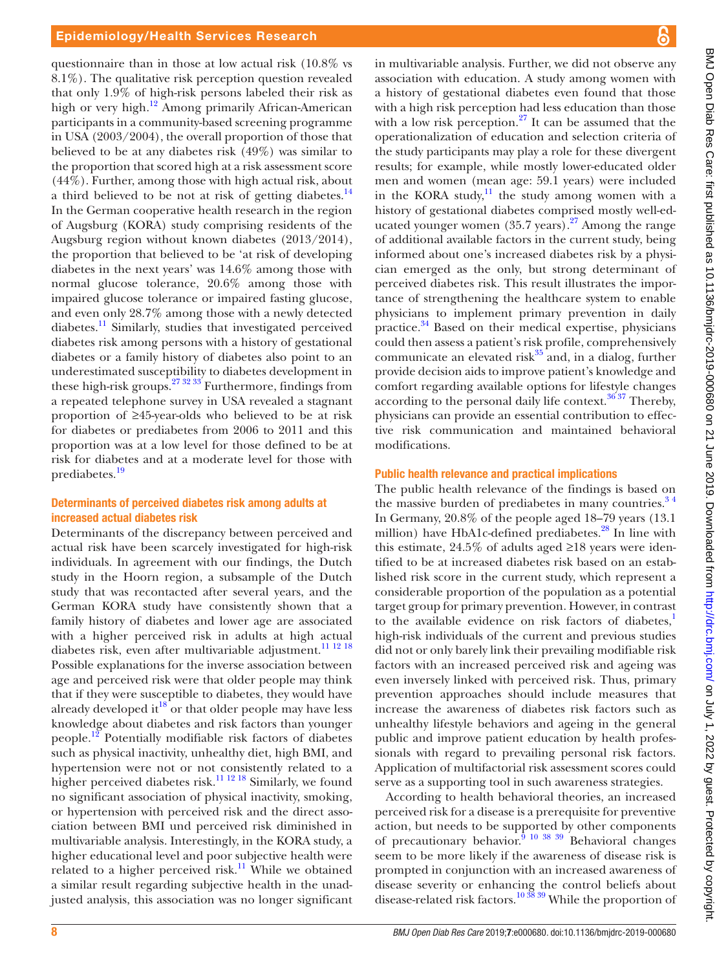questionnaire than in those at low actual risk (10.8% vs 8.1%). The qualitative risk perception question revealed that only 1.9% of high-risk persons labeled their risk as high or very high.<sup>12</sup> Among primarily African-American participants in a community-based screening programme in USA (2003/2004), the overall proportion of those that believed to be at any diabetes risk (49%) was similar to the proportion that scored high at a risk assessment score (44%). Further, among those with high actual risk, about a third believed to be not at risk of getting diabetes. $14$ In the German cooperative health research in the region of Augsburg (KORA) study comprising residents of the Augsburg region without known diabetes (2013/2014), the proportion that believed to be 'at risk of developing diabetes in the next years' was 14.6% among those with normal glucose tolerance, 20.6% among those with impaired glucose tolerance or impaired fasting glucose, and even only 28.7% among those with a newly detected diabetes.<sup>[11](#page-8-7)</sup> Similarly, studies that investigated perceived diabetes risk among persons with a history of gestational diabetes or a family history of diabetes also point to an underestimated susceptibility to diabetes development in these high-risk groups.[27 32 33](#page-9-6) Furthermore, findings from a repeated telephone survey in USA revealed a stagnant proportion of ≥45-year-olds who believed to be at risk for diabetes or prediabetes from 2006 to 2011 and this proportion was at a low level for those defined to be at risk for diabetes and at a moderate level for those with prediabetes.<sup>[19](#page-9-11)</sup>

#### Determinants of perceived diabetes risk among adults at increased actual diabetes risk

Determinants of the discrepancy between perceived and actual risk have been scarcely investigated for high-risk individuals. In agreement with our findings, the Dutch study in the Hoorn region, a subsample of the Dutch study that was recontacted after several years, and the German KORA study have consistently shown that a family history of diabetes and lower age are associated with a higher perceived risk in adults at high actual diabetes risk, even after multivariable adjustment.<sup>[11 12 18](#page-8-7)</sup> Possible explanations for the inverse association between age and perceived risk were that older people may think that if they were susceptible to diabetes, they would have already developed it<sup>18</sup> or that older people may have less knowledge about diabetes and risk factors than younger people.[12](#page-8-9) Potentially modifiable risk factors of diabetes such as physical inactivity, unhealthy diet, high BMI, and hypertension were not or not consistently related to a higher perceived diabetes risk.<sup>[11 12 18](#page-8-7)</sup> Similarly, we found no significant association of physical inactivity, smoking, or hypertension with perceived risk and the direct association between BMI und perceived risk diminished in multivariable analysis. Interestingly, in the KORA study, a higher educational level and poor subjective health were related to a higher perceived risk.<sup>[11](#page-8-7)</sup> While we obtained a similar result regarding subjective health in the unadjusted analysis, this association was no longer significant

in multivariable analysis. Further, we did not observe any association with education. A study among women with a history of gestational diabetes even found that those with a high risk perception had less education than those with a low risk perception.<sup>[27](#page-9-6)</sup> It can be assumed that the operationalization of education and selection criteria of the study participants may play a role for these divergent results; for example, while mostly lower-educated older men and women (mean age: 59.1 years) were included in the KORA study, $\frac{11}{11}$  $\frac{11}{11}$  $\frac{11}{11}$  the study among women with a history of gestational diabetes comprised mostly well-educated younger women  $(35.7 \text{ years})$ .<sup>27</sup> Among the range of additional available factors in the current study, being informed about one's increased diabetes risk by a physician emerged as the only, but strong determinant of perceived diabetes risk. This result illustrates the importance of strengthening the healthcare system to enable physicians to implement primary prevention in daily practice[.34](#page-9-13) Based on their medical expertise, physicians could then assess a patient's risk profile, comprehensively communicate an elevated risk $35$  and, in a dialog, further provide decision aids to improve patient's knowledge and comfort regarding available options for lifestyle changes according to the personal daily life context.  $36\overline{37}$  Thereby, physicians can provide an essential contribution to effective risk communication and maintained behavioral modifications.

#### Public health relevance and practical implications

The public health relevance of the findings is based on the massive burden of prediabetes in many countries. $3<sup>4</sup>$ In Germany, 20.8% of the people aged 18–79 years (13.1 million) have HbA1c-defined prediabetes.<sup>28</sup> In line with this estimate,  $24.5\%$  of adults aged  $\geq 18$  years were identified to be at increased diabetes risk based on an established risk score in the current study, which represent a considerable proportion of the population as a potential target group for primary prevention. However, in contrast to the available evidence on risk factors of diabetes, $\frac{1}{1}$  $\frac{1}{1}$  $\frac{1}{1}$ high-risk individuals of the current and previous studies did not or only barely link their prevailing modifiable risk factors with an increased perceived risk and ageing was even inversely linked with perceived risk. Thus, primary prevention approaches should include measures that increase the awareness of diabetes risk factors such as unhealthy lifestyle behaviors and ageing in the general public and improve patient education by health professionals with regard to prevailing personal risk factors. Application of multifactorial risk assessment scores could serve as a supporting tool in such awareness strategies.

According to health behavioral theories, an increased perceived risk for a disease is a prerequisite for preventive action, but needs to be supported by other components of precautionary behavior.<sup>4</sup> <sup>10</sup> <sup>38</sup> <sup>39</sup> Behavioral changes seem to be more likely if the awareness of disease risk is prompted in conjunction with an increased awareness of disease severity or enhancing the control beliefs about disease-related risk factors.<sup>10 38</sup> 39 While the proportion of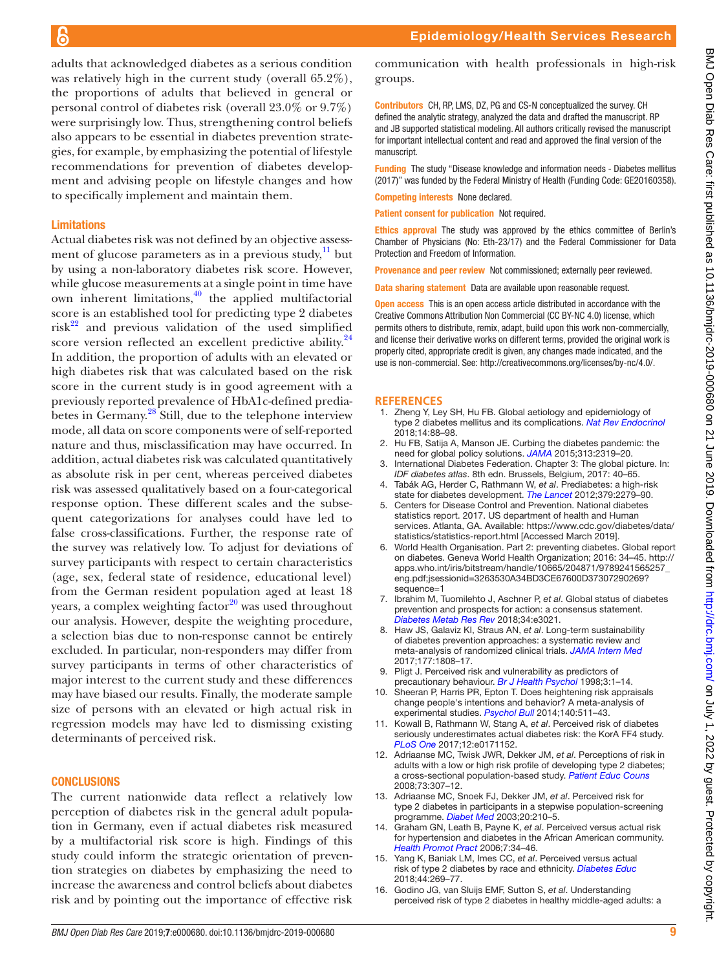adults that acknowledged diabetes as a serious condition was relatively high in the current study (overall 65.2%), the proportions of adults that believed in general or personal control of diabetes risk (overall 23.0% or 9.7%) were surprisingly low. Thus, strengthening control beliefs also appears to be essential in diabetes prevention strategies, for example, by emphasizing the potential of lifestyle recommendations for prevention of diabetes development and advising people on lifestyle changes and how to specifically implement and maintain them.

#### Limitations

Actual diabetes risk was not defined by an objective assessment of glucose parameters as in a previous study, $\frac{11}{1}$  but by using a non-laboratory diabetes risk score. However, while glucose measurements at a single point in time have own inherent limitations,<sup>[40](#page-9-16)</sup> the applied multifactorial score is an established tool for predicting type 2 diabetes  $risk^{22}$  $risk^{22}$  $risk^{22}$  and previous validation of the used simplified score version reflected an excellent predictive ability.<sup>24</sup> In addition, the proportion of adults with an elevated or high diabetes risk that was calculated based on the risk score in the current study is in good agreement with a previously reported prevalence of HbA1c-defined prediabetes in Germany.<sup>28</sup> Still, due to the telephone interview mode, all data on score components were of self-reported nature and thus, misclassification may have occurred. In addition, actual diabetes risk was calculated quantitatively as absolute risk in per cent, whereas perceived diabetes risk was assessed qualitatively based on a four-categorical response option. These different scales and the subsequent categorizations for analyses could have led to false cross-classifications. Further, the response rate of the survey was relatively low. To adjust for deviations of survey participants with respect to certain characteristics (age, sex, federal state of residence, educational level) from the German resident population aged at least 18 years, a complex weighting factor $^{20}$  was used throughout our analysis. However, despite the weighting procedure, a selection bias due to non-response cannot be entirely excluded. In particular, non-responders may differ from survey participants in terms of other characteristics of major interest to the current study and these differences may have biased our results. Finally, the moderate sample size of persons with an elevated or high actual risk in regression models may have led to dismissing existing determinants of perceived risk.

#### **CONCLUSIONS**

The current nationwide data reflect a relatively low perception of diabetes risk in the general adult population in Germany, even if actual diabetes risk measured by a multifactorial risk score is high. Findings of this study could inform the strategic orientation of prevention strategies on diabetes by emphasizing the need to increase the awareness and control beliefs about diabetes risk and by pointing out the importance of effective risk

communication with health professionals in high-risk groups.

Contributors CH, RP, LMS, DZ, PG and CS-N conceptualized the survey. CH defined the analytic strategy, analyzed the data and drafted the manuscript. RP and JB supported statistical modeling. All authors critically revised the manuscript for important intellectual content and read and approved the final version of the manuscript.

Funding The study "Disease knowledge and information needs - Diabetes mellitus (2017)" was funded by the Federal Ministry of Health (Funding Code: GE20160358).

Competing interests None declared.

Patient consent for publication Not required.

Ethics approval The study was approved by the ethics committee of Berlin's Chamber of Physicians (No: Eth-23/17) and the Federal Commissioner for Data Protection and Freedom of Information.

Provenance and peer review Not commissioned; externally peer reviewed.

Data sharing statement Data are available upon reasonable request.

Open access This is an open access article distributed in accordance with the Creative Commons Attribution Non Commercial (CC BY-NC 4.0) license, which permits others to distribute, remix, adapt, build upon this work non-commercially, and license their derivative works on different terms, provided the original work is properly cited, appropriate credit is given, any changes made indicated, and the use is non-commercial. See:<http://creativecommons.org/licenses/by-nc/4.0/>.

#### **References**

- <span id="page-8-0"></span>1. Zheng Y, Ley SH, Hu FB. Global aetiology and epidemiology of type 2 diabetes mellitus and its complications. *[Nat Rev Endocrinol](http://dx.doi.org/10.1038/nrendo.2017.151)* 2018;14:88–98.
- 2. Hu FB, Satija A, Manson JE. Curbing the diabetes pandemic: the need for global policy solutions. *[JAMA](http://dx.doi.org/10.1001/jama.2015.5287)* 2015;313:2319–20.
- <span id="page-8-1"></span>International Diabetes Federation. Chapter 3: The global picture. In: *IDF diabetes atlas*. 8th edn. Brussels, Belgium, 2017: 40–65.
- <span id="page-8-2"></span>4. Tabák AG, Herder C, Rathmann W, *et al*. Prediabetes: a high-risk state for diabetes development. *[The Lancet](http://dx.doi.org/10.1016/S0140-6736(12)60283-9)* 2012;379:2279–90.
- <span id="page-8-3"></span>5. Centers for Disease Control and Prevention. National diabetes statistics report. 2017. US department of health and Human services. Atlanta, GA. Available: [https://www.cdc.gov/diabetes/data/](https://www.cdc.gov/diabetes/data/statistics/statistics-report.html) [statistics/statistics-report.html](https://www.cdc.gov/diabetes/data/statistics/statistics-report.html) [Accessed March 2019].
- <span id="page-8-4"></span>6. World Health Organisation. Part 2: preventing diabetes. Global report on diabetes. Geneva World Health Organization; 2016: 34–45. [http://](http://apps.who.int/iris/bitstream/handle/10665/204871/9789241565257_eng.pdf;jsessionid=3263530A34BD3CE67600D37307290269?sequence=1) [apps.who.int/iris/bitstream/handle/10665/204871/9789241565257\\_](http://apps.who.int/iris/bitstream/handle/10665/204871/9789241565257_eng.pdf;jsessionid=3263530A34BD3CE67600D37307290269?sequence=1) [eng.pdf;jsessionid=3263530A34BD3CE67600D37307290269?](http://apps.who.int/iris/bitstream/handle/10665/204871/9789241565257_eng.pdf;jsessionid=3263530A34BD3CE67600D37307290269?sequence=1) [sequence=1](http://apps.who.int/iris/bitstream/handle/10665/204871/9789241565257_eng.pdf;jsessionid=3263530A34BD3CE67600D37307290269?sequence=1)
- 7. Ibrahim M, Tuomilehto J, Aschner P, *et al*. Global status of diabetes prevention and prospects for action: a consensus statement. *[Diabetes Metab Res Rev](http://dx.doi.org/10.1002/dmrr.3021)* 2018;34:e3021.
- <span id="page-8-5"></span>8. Haw JS, Galaviz KI, Straus AN, *et al*. Long-term sustainability of diabetes prevention approaches: a systematic review and meta-analysis of randomized clinical trials. *[JAMA Intern Med](http://dx.doi.org/10.1001/jamainternmed.2017.6040)* 2017;177:1808–17.
- <span id="page-8-6"></span>9. Pligt J. Perceived risk and vulnerability as predictors of precautionary behaviour. *[Br J Health Psychol](http://dx.doi.org/10.1111/j.2044-8287.1998.tb00551.x)* 1998;3:1–14.
- <span id="page-8-11"></span>10. Sheeran P, Harris PR, Epton T. Does heightening risk appraisals change people's intentions and behavior? A meta-analysis of experimental studies. *[Psychol Bull](http://dx.doi.org/10.1037/a0033065)* 2014;140:511–43.
- <span id="page-8-7"></span>11. Kowall B, Rathmann W, Stang A, *et al*. Perceived risk of diabetes seriously underestimates actual diabetes risk: the KorA FF4 study. *[PLoS One](http://dx.doi.org/10.1371/journal.pone.0171152)* 2017;12:e0171152.
- <span id="page-8-9"></span>12. Adriaanse MC, Twisk JWR, Dekker JM, *et al*. Perceptions of risk in adults with a low or high risk profile of developing type 2 diabetes; a cross-sectional population-based study. *[Patient Educ Couns](http://dx.doi.org/10.1016/j.pec.2008.06.009)* 2008;73:307–12.
- <span id="page-8-8"></span>13. Adriaanse MC, Snoek FJ, Dekker JM, *et al*. Perceived risk for type 2 diabetes in participants in a stepwise population-screening programme. *[Diabet Med](http://dx.doi.org/10.1046/j.1464-5491.2003.00901.x)* 2003;20:210–5.
- <span id="page-8-10"></span>14. Graham GN, Leath B, Payne K, *et al*. Perceived versus actual risk for hypertension and diabetes in the African American community. *[Health Promot Pract](http://dx.doi.org/10.1177/1524839905283891)* 2006;7:34–46.
- 15. Yang K, Baniak LM, Imes CC, *et al*. Perceived versus actual risk of type 2 diabetes by race and ethnicity. *[Diabetes Educ](http://dx.doi.org/10.1177/0145721718770983)* 2018;44:269–77.
- 16. Godino JG, van Sluijs EMF, Sutton S, *et al*. Understanding perceived risk of type 2 diabetes in healthy middle-aged adults: a